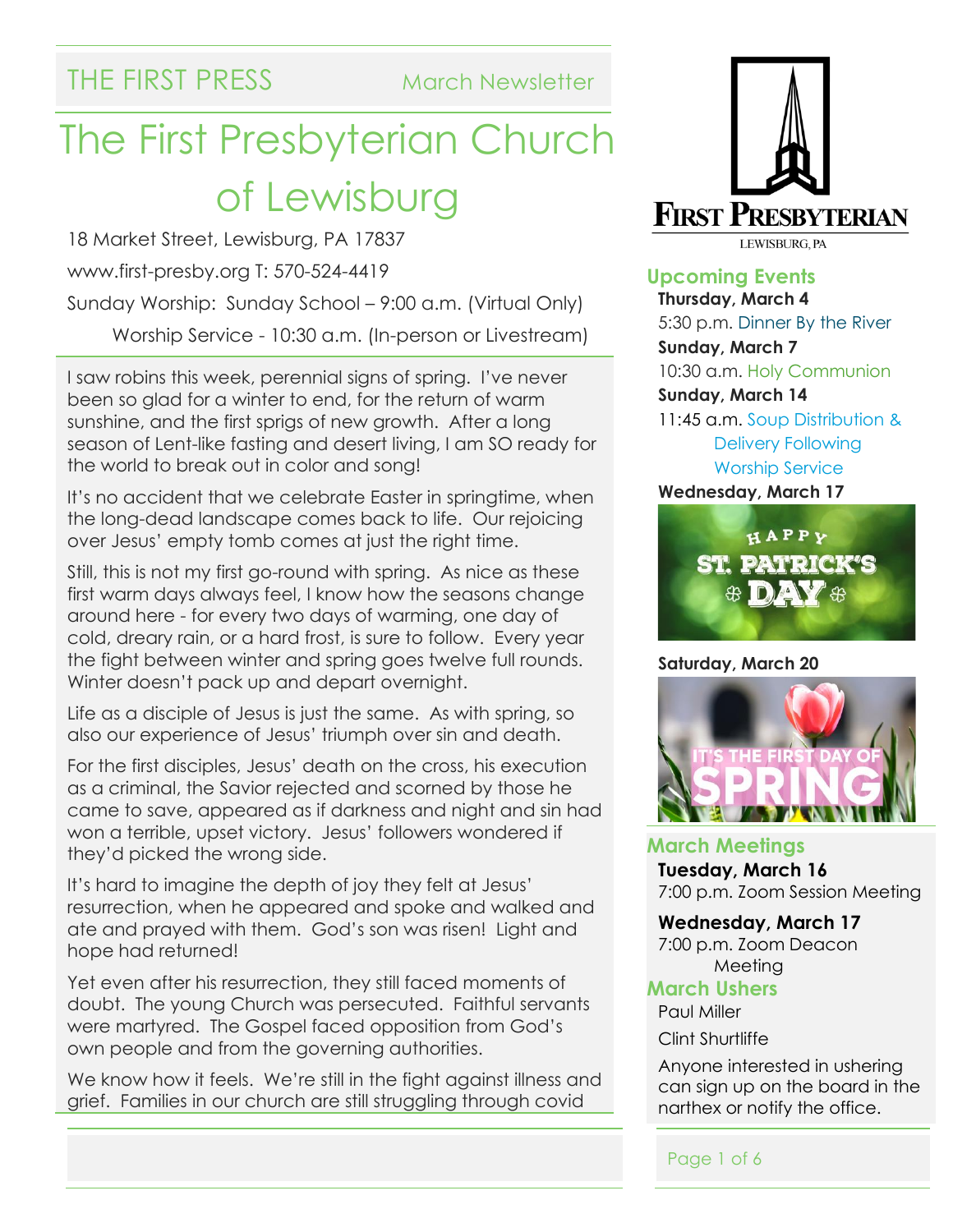## THE FIRST PRESS March Newsletter

# The First Presbyterian Church of Lewisburg

18 Market Street, Lewisburg, PA 17837 www.first-presby.org T: 570-524-4419 Sunday Worship: Sunday School – 9:00 a.m. (Virtual Only) Worship Service - 10:30 a.m. (In-person or Livestream)

I saw robins this week, perennial signs of spring. I've never been so glad for a winter to end, for the return of warm sunshine, and the first sprigs of new growth. After a long season of Lent-like fasting and desert living, I am SO ready for the world to break out in color and song!

It's no accident that we celebrate Easter in springtime, when the long-dead landscape comes back to life. Our rejoicing over Jesus' empty tomb comes at just the right time.

Still, this is not my first go-round with spring. As nice as these first warm days always feel, I know how the seasons change around here - for every two days of warming, one day of cold, dreary rain, or a hard frost, is sure to follow. Every year the fight between winter and spring goes twelve full rounds. Winter doesn't pack up and depart overnight.

Life as a disciple of Jesus is just the same. As with spring, so also our experience of Jesus' triumph over sin and death.

For the first disciples, Jesus' death on the cross, his execution as a criminal, the Savior rejected and scorned by those he came to save, appeared as if darkness and night and sin had won a terrible, upset victory. Jesus' followers wondered if they'd picked the wrong side.

It's hard to imagine the depth of joy they felt at Jesus' resurrection, when he appeared and spoke and walked and ate and prayed with them. God's son was risen! Light and hope had returned!

Yet even after his resurrection, they still faced moments of doubt. The young Church was persecuted. Faithful servants were martyred. The Gospel faced opposition from God's own people and from the governing authorities.

We know how it feels. We're still in the fight against illness and grief. Families in our church are still struggling through covid



**Upcoming Events Thursday, March 4** 5:30 p.m. Dinner By the River **Sunday, March 7** 10:30 a.m. Holy Communion **Sunday, March 14** 11:45 a.m. Soup Distribution & Delivery Following Worship Service **Wednesday, March 17**



#### **Saturday, March 20**



**March Meetings Tuesday, March 16** 7:00 p.m. Zoom Session Meeting

#### **Wednesday, March 17**

7:00 p.m. Zoom Deacon Meeting

#### **March Ushers**

Paul Miller Clint Shurtliffe

Anyone interested in ushering can sign up on the board in the narthex or notify the office.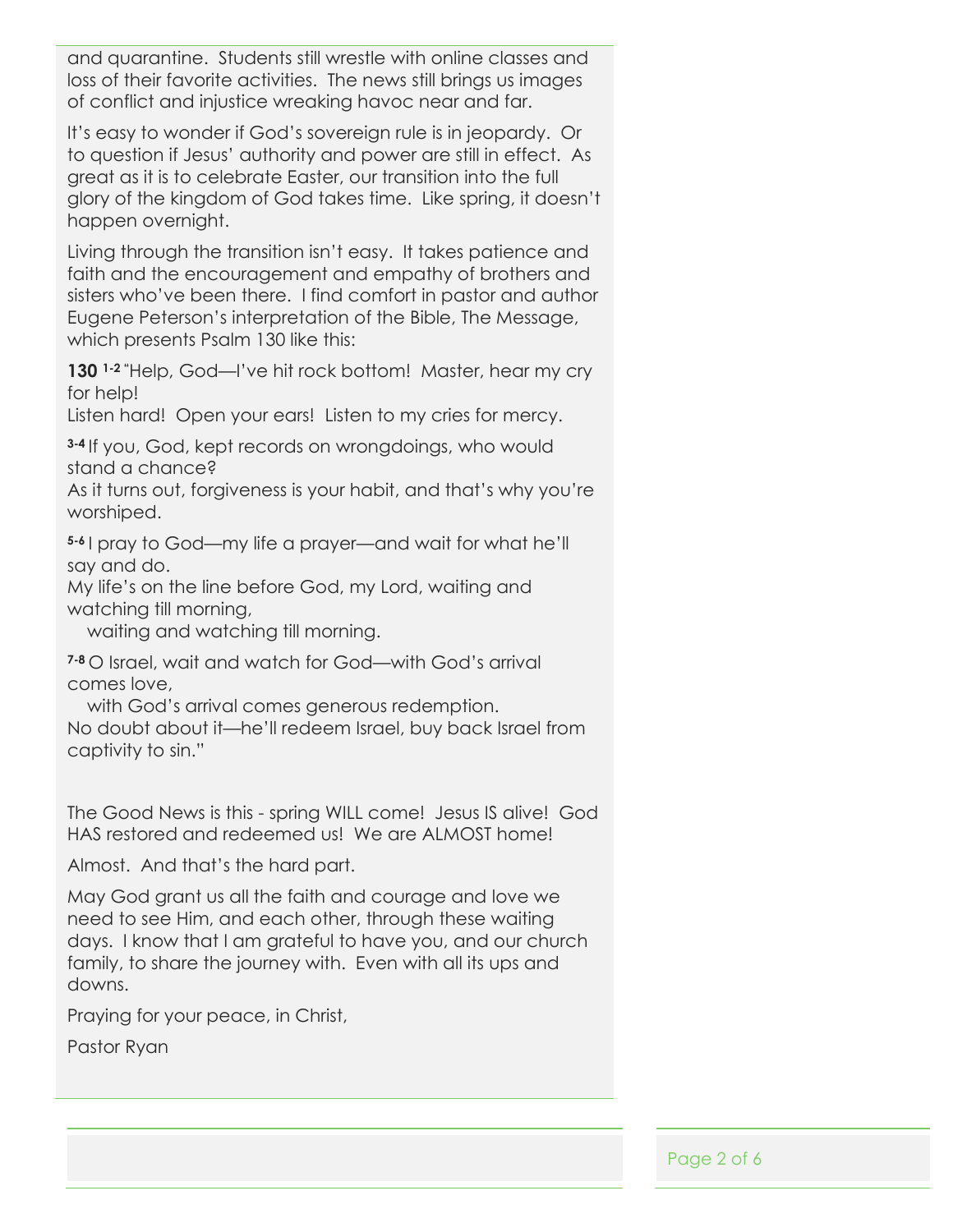and quarantine. Students still wrestle with online classes and loss of their favorite activities. The news still brings us images of conflict and injustice wreaking havoc near and far.

It's easy to wonder if God's sovereign rule is in jeopardy. Or to question if Jesus' authority and power are still in effect. As great as it is to celebrate Easter, our transition into the full glory of the kingdom of God takes time. Like spring, it doesn't happen overnight.

Living through the transition isn't easy. It takes patience and faith and the encouragement and empathy of brothers and sisters who've been there. I find comfort in pastor and author Eugene Peterson's interpretation of the Bible, The Message, which presents Psalm 130 like this:

**130 1-2 "**Help, God—I've hit rock bottom! Master, hear my cry for help!

Listen hard! Open your ears! Listen to my cries for mercy.

**3-4** If you, God, kept records on wrongdoings, who would stand a chance?

As it turns out, forgiveness is your habit, and that's why you're worshiped.

**5-6** I pray to God—my life a prayer—and wait for what he'll say and do.

My life's on the line before God, my Lord, waiting and watching till morning,

waiting and watching till morning.

**7-8** O Israel, wait and watch for God—with God's arrival comes love,

with God's arrival comes generous redemption.

No doubt about it—he'll redeem Israel, buy back Israel from captivity to sin."

The Good News is this - spring WILL come! Jesus IS alive! God HAS restored and redeemed us! We are ALMOST home!

Almost. And that's the hard part.

May God grant us all the faith and courage and love we need to see Him, and each other, through these waiting days. I know that I am grateful to have you, and our church family, to share the journey with. Even with all its ups and downs.

Praying for your peace, in Christ,

Pastor Ryan

Page 2 of 6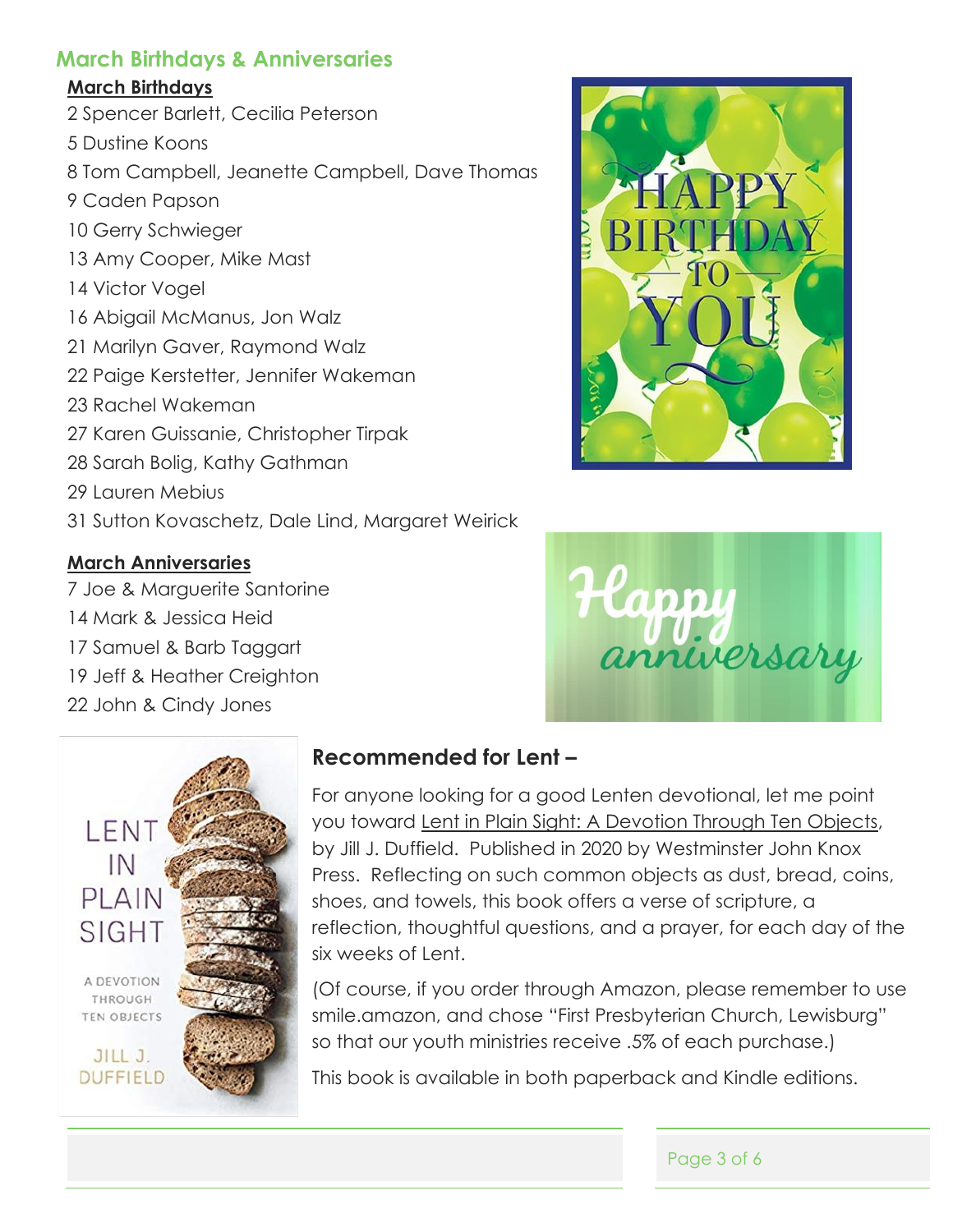#### **March Birthdays & Anniversaries**

#### **March Birthdays**

- 2 Spencer Barlett, Cecilia Peterson
- 5 Dustine Koons
- 8 Tom Campbell, Jeanette Campbell, Dave Thomas
- 9 Caden Papson
- 10 Gerry Schwieger
- 13 Amy Cooper, Mike Mast
- 14 Victor Vogel
- 16 Abigail McManus, Jon Walz
- 21 Marilyn Gaver, Raymond Walz
- 22 Paige Kerstetter, Jennifer Wakeman
- 23 Rachel Wakeman
- 27 Karen Guissanie, Christopher Tirpak
- 28 Sarah Bolig, Kathy Gathman
- 29 Lauren Mebius
- 31 Sutton Kovaschetz, Dale Lind, Margaret Weirick

#### **March Anniversaries**

- 7 Joe & Marguerite Santorine
- 14 Mark & Jessica Heid
- 17 Samuel & Barb Taggart
- 19 Jeff & Heather Creighton
- 22 John & Cindy Jones





### **Recommended for Lent –**

For anyone looking for a good Lenten devotional, let me point you toward Lent in Plain Sight: A Devotion Through Ten Objects, by Jill J. Duffield. Published in 2020 by Westminster John Knox Press. Reflecting on such common objects as dust, bread, coins, shoes, and towels, this book offers a verse of scripture, a reflection, thoughtful questions, and a prayer, for each day of the six weeks of Lent.

(Of course, if you order through Amazon, please remember to use smile.amazon, and chose "First Presbyterian Church, Lewisburg" so that our youth ministries receive .5% of each purchase.)

This book is available in both paperback and Kindle editions.



Page 3 of 6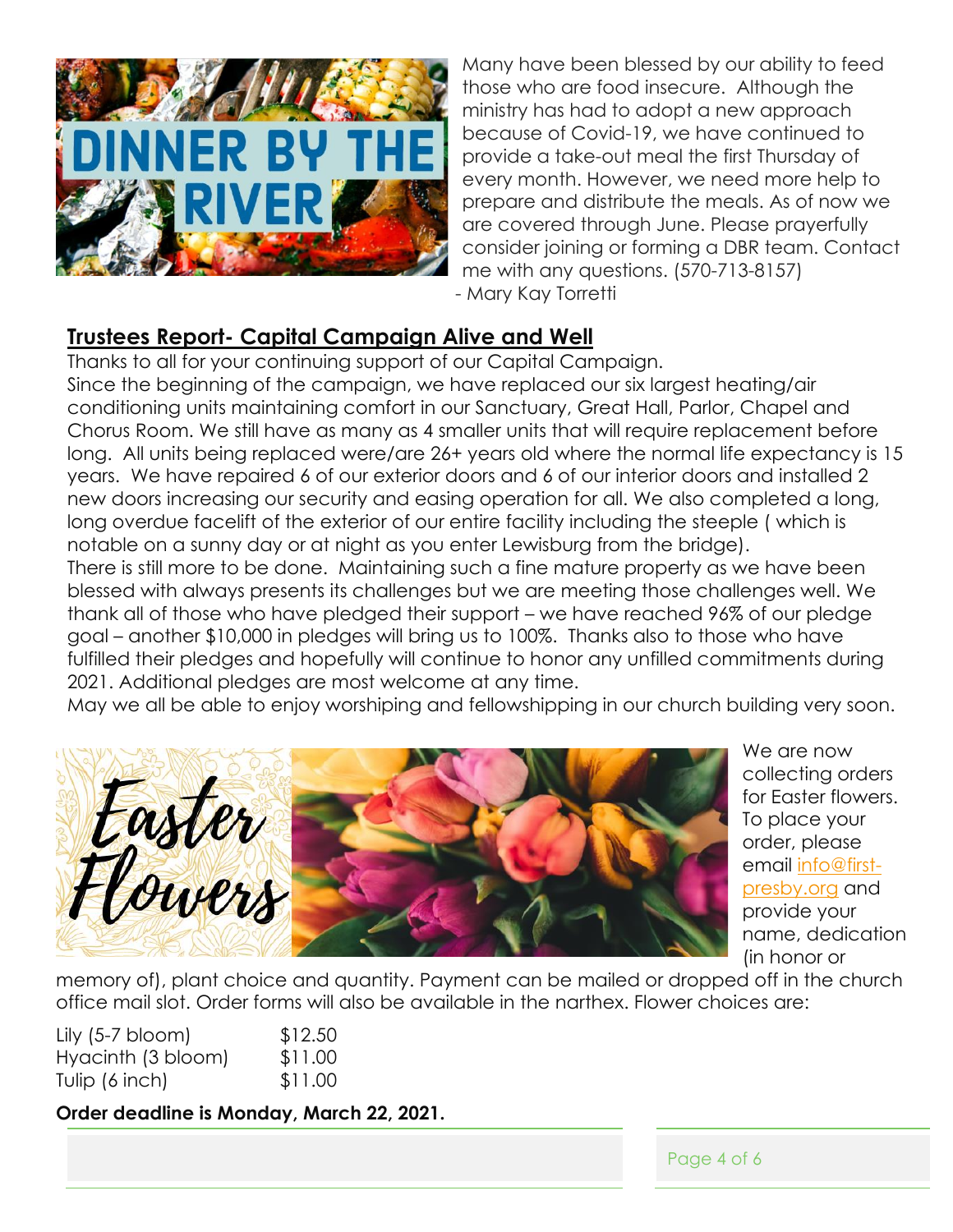

Many have been blessed by our ability to feed those who are food insecure. Although the ministry has had to adopt a new approach because of Covid-19, we have continued to provide a take-out meal the first Thursday of every month. However, we need more help to prepare and distribute the meals. As of now we are covered through June. Please prayerfully consider joining or forming a DBR team. Contact me with any questions. (570-713-8157) - Mary Kay Torretti

#### **Trustees Report- Capital Campaign Alive and Well**

Thanks to all for your continuing support of our Capital Campaign. Since the beginning of the campaign, we have replaced our six largest heating/air conditioning units maintaining comfort in our Sanctuary, Great Hall, Parlor, Chapel and Chorus Room. We still have as many as 4 smaller units that will require replacement before long. All units being replaced were/are 26+ years old where the normal life expectancy is 15 years. We have repaired 6 of our exterior doors and 6 of our interior doors and installed 2 new doors increasing our security and easing operation for all. We also completed a long, long overdue facelift of the exterior of our entire facility including the steeple ( which is notable on a sunny day or at night as you enter Lewisburg from the bridge).

There is still more to be done. Maintaining such a fine mature property as we have been blessed with always presents its challenges but we are meeting those challenges well. We thank all of those who have pledged their support – we have reached 96% of our pledge goal – another \$10,000 in pledges will bring us to 100%. Thanks also to those who have fulfilled their pledges and hopefully will continue to honor any unfilled commitments during 2021. Additional pledges are most welcome at any time.

May we all be able to enjoy worshiping and fellowshipping in our church building very soon.



We are now collecting orders for Easter flowers. To place your order, please email [info@first](mailto:info@first-presby.org)[presby.org](mailto:info@first-presby.org) and provide your name, dedication (in honor or

memory of), plant choice and quantity. Payment can be mailed or dropped off in the church office mail slot. Order forms will also be available in the narthex. Flower choices are:

| Lily $(5-7 \text{ bloom})$ | \$12.50 |
|----------------------------|---------|
| Hyacinth (3 bloom)         | \$11.00 |
| Tulip $(6 \text{ inch})$   | \$11.00 |

**Order deadline is Monday, March 22, 2021.**

Page 4 of 6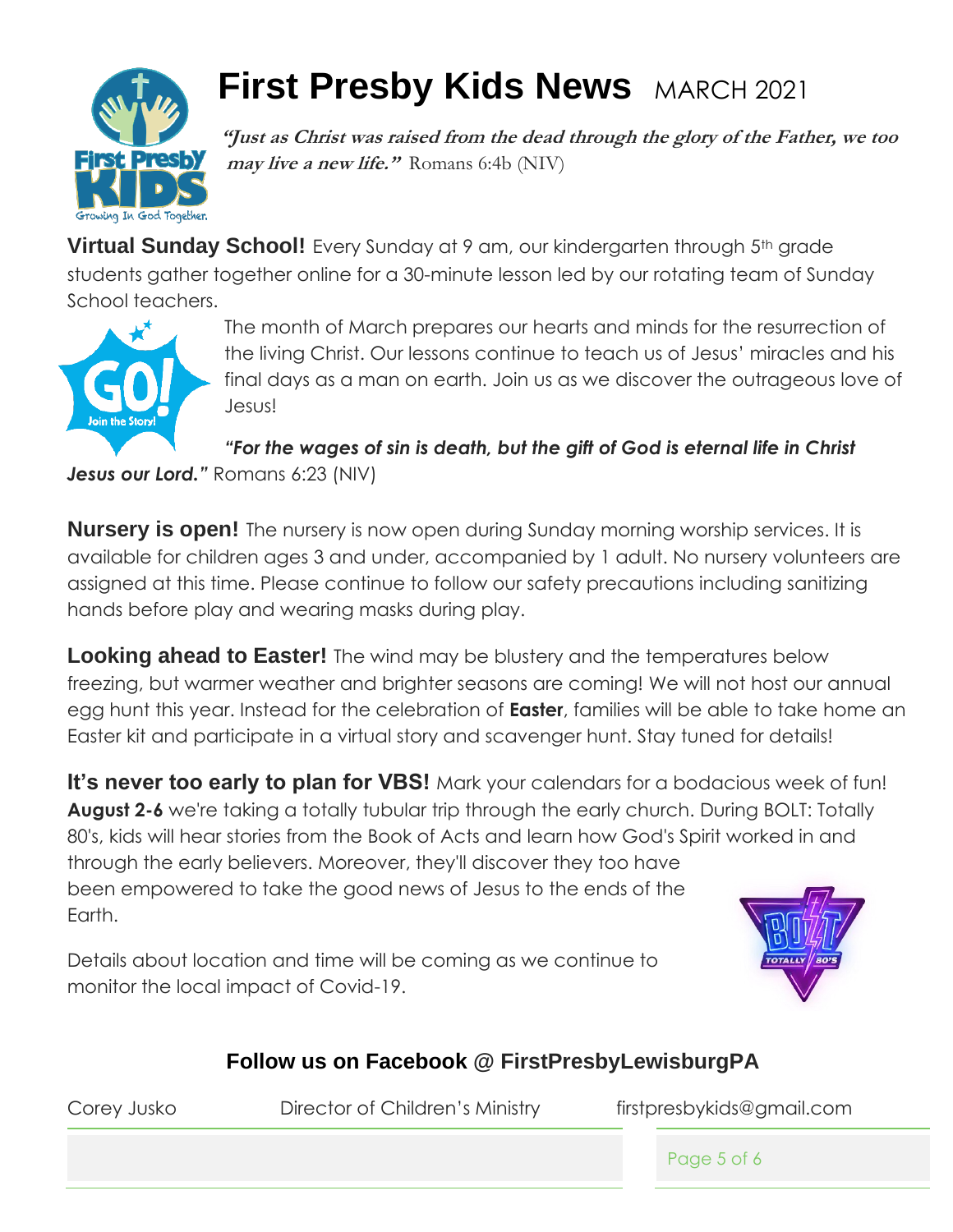

## **First Presby Kids News** MARCH 2021

**"Just as Christ was raised from the dead through the glory of the Father, we too may live a new life."** Romans 6:4b (NIV)

**Virtual Sunday School!** Every Sunday at 9 am, our kindergarten through 5<sup>th</sup> grade students gather together online for a 30-minute lesson led by our rotating team of Sunday School teachers.



The month of March prepares our hearts and minds for the resurrection of the living Christ. Our lessons continue to teach us of Jesus' miracles and his final days as a man on earth. Join us as we discover the outrageous love of Jesus!

*"For the wages of sin is death, but the gift of God is eternal life in Christ* 

**Jesus our Lord.**" Romans 6:23 (NIV)

**Nursery is open!** The nursery is now open during Sunday morning worship services. It is available for children ages 3 and under, accompanied by 1 adult. No nursery volunteers are assigned at this time. Please continue to follow our safety precautions including sanitizing hands before play and wearing masks during play.

**Looking ahead to Easter!** The wind may be blustery and the temperatures below freezing, but warmer weather and brighter seasons are coming! We will not host our annual egg hunt this year. Instead for the celebration of **Easter**, families will be able to take home an Easter kit and participate in a virtual story and scavenger hunt. Stay tuned for details!

**It's never too early to plan for VBS!** Mark your calendars for a bodacious week of fun! **August 2-6** we're taking a totally tubular trip through the early church. During BOLT: Totally 80's, kids will hear stories from the Book of Acts and learn how God's Spirit worked in and through the early believers. Moreover, they'll discover they too have been empowered to take the good news of Jesus to the ends of the Earth.

Details about location and time will be coming as we continue to monitor the local impact of Covid-19.



### **Follow us on Facebook @ FirstPresbyLewisburgPA**

Corey Jusko Director of Children's Ministry firstpresbykids@gmail.com

Page 5 of 6